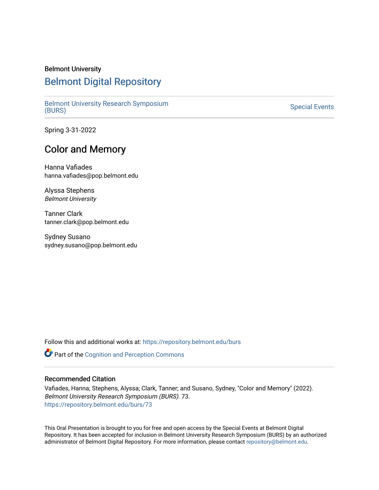### Belmont University

# [Belmont Digital Repository](https://repository.belmont.edu/)

[Belmont University Research Symposium](https://repository.belmont.edu/burs) [\(BURS\)](https://repository.belmont.edu/burs) [Special Events](https://repository.belmont.edu/specialevents) 

Spring 3-31-2022

## Color and Memory

Hanna Vafiades hanna.vafiades@pop.belmont.edu

Alyssa Stephens Belmont University

Tanner Clark tanner.clark@pop.belmont.edu

Sydney Susano sydney.susano@pop.belmont.edu

Follow this and additional works at: [https://repository.belmont.edu/burs](https://repository.belmont.edu/burs?utm_source=repository.belmont.edu%2Fburs%2F73&utm_medium=PDF&utm_campaign=PDFCoverPages)

Part of the [Cognition and Perception Commons](http://network.bepress.com/hgg/discipline/407?utm_source=repository.belmont.edu%2Fburs%2F73&utm_medium=PDF&utm_campaign=PDFCoverPages) 

#### Recommended Citation

Vafiades, Hanna; Stephens, Alyssa; Clark, Tanner; and Susano, Sydney, "Color and Memory" (2022). Belmont University Research Symposium (BURS). 73. [https://repository.belmont.edu/burs/73](https://repository.belmont.edu/burs/73?utm_source=repository.belmont.edu%2Fburs%2F73&utm_medium=PDF&utm_campaign=PDFCoverPages) 

This Oral Presentation is brought to you for free and open access by the Special Events at Belmont Digital Repository. It has been accepted for inclusion in Belmont University Research Symposium (BURS) by an authorized administrator of Belmont Digital Repository. For more information, please contact [repository@belmont.edu](mailto:repository@belmont.edu).